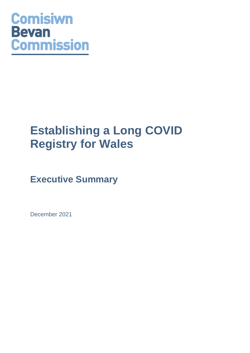# **Comisiwn Bevan Commission**

## **Establishing a Long COVID Registry for Wales**

### **Executive Summary**

December 2021